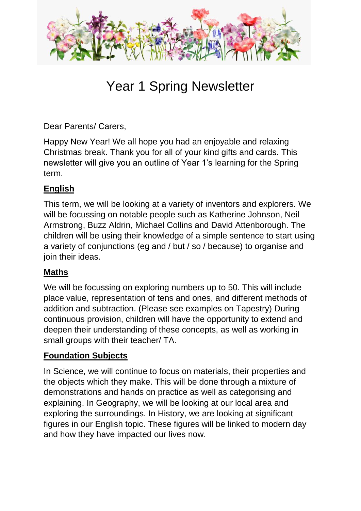

# Year 1 Spring Newsletter

Dear Parents/ Carers,

Happy New Year! We all hope you had an enjoyable and relaxing Christmas break. Thank you for all of your kind gifts and cards. This newsletter will give you an outline of Year 1's learning for the Spring term.

### **English**

This term, we will be looking at a variety of inventors and explorers. We will be focussing on notable people such as Katherine Johnson, Neil Armstrong, Buzz Aldrin, Michael Collins and David Attenborough. The children will be using their knowledge of a simple sentence to start using a variety of conjunctions (eg and / but / so / because) to organise and join their ideas.

#### **Maths**

We will be focussing on exploring numbers up to 50. This will include place value, representation of tens and ones, and different methods of addition and subtraction. (Please see examples on Tapestry) During continuous provision, children will have the opportunity to extend and deepen their understanding of these concepts, as well as working in small groups with their teacher/ TA.

#### **Foundation Subjects**

In Science, we will continue to focus on materials, their properties and the objects which they make. This will be done through a mixture of demonstrations and hands on practice as well as categorising and explaining. In Geography, we will be looking at our local area and exploring the surroundings. In History, we are looking at significant figures in our English topic. These figures will be linked to modern day and how they have impacted our lives now.